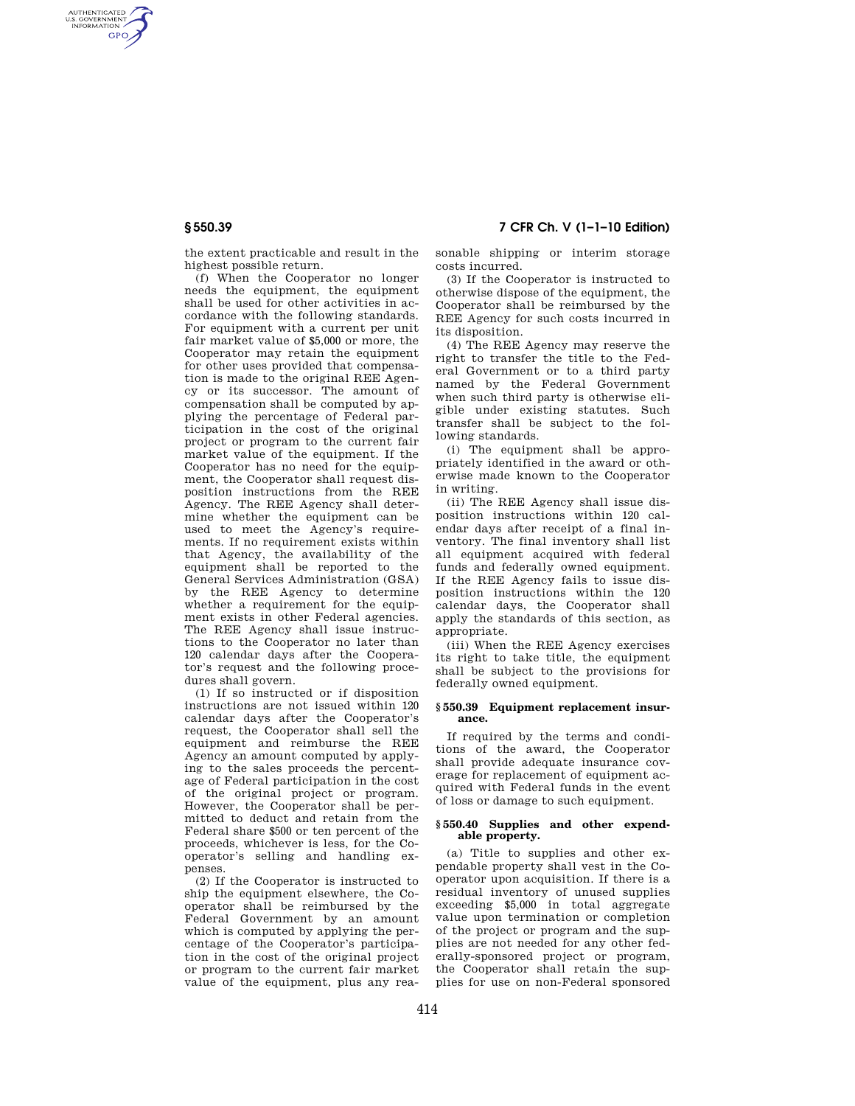AUTHENTICATED<br>U.S. GOVERNMENT<br>INFORMATION **GPO** 

**§ 550.39 7 CFR Ch. V (1–1–10 Edition)** 

the extent practicable and result in the highest possible return.

(f) When the Cooperator no longer needs the equipment, the equipment shall be used for other activities in accordance with the following standards. For equipment with a current per unit fair market value of \$5,000 or more, the Cooperator may retain the equipment for other uses provided that compensation is made to the original REE Agency or its successor. The amount of compensation shall be computed by applying the percentage of Federal participation in the cost of the original project or program to the current fair market value of the equipment. If the Cooperator has no need for the equipment, the Cooperator shall request disposition instructions from the REE Agency. The REE Agency shall determine whether the equipment can be used to meet the Agency's requirements. If no requirement exists within that Agency, the availability of the equipment shall be reported to the General Services Administration (GSA) by the REE Agency to determine whether a requirement for the equipment exists in other Federal agencies. The REE Agency shall issue instructions to the Cooperator no later than 120 calendar days after the Cooperator's request and the following procedures shall govern.

(1) If so instructed or if disposition instructions are not issued within 120 calendar days after the Cooperator's request, the Cooperator shall sell the equipment and reimburse the REE Agency an amount computed by applying to the sales proceeds the percentage of Federal participation in the cost of the original project or program. However, the Cooperator shall be permitted to deduct and retain from the Federal share \$500 or ten percent of the proceeds, whichever is less, for the Cooperator's selling and handling expenses.

(2) If the Cooperator is instructed to ship the equipment elsewhere, the Cooperator shall be reimbursed by the Federal Government by an amount which is computed by applying the percentage of the Cooperator's participation in the cost of the original project or program to the current fair market value of the equipment, plus any reasonable shipping or interim storage costs incurred.

(3) If the Cooperator is instructed to otherwise dispose of the equipment, the Cooperator shall be reimbursed by the REE Agency for such costs incurred in its disposition.

(4) The REE Agency may reserve the right to transfer the title to the Federal Government or to a third party named by the Federal Government when such third party is otherwise eligible under existing statutes. Such transfer shall be subject to the following standards.

(i) The equipment shall be appropriately identified in the award or otherwise made known to the Cooperator in writing.

(ii) The REE Agency shall issue disposition instructions within 120 calendar days after receipt of a final inventory. The final inventory shall list all equipment acquired with federal funds and federally owned equipment. If the REE Agency fails to issue disposition instructions within the 120 calendar days, the Cooperator shall apply the standards of this section, as appropriate.

(iii) When the REE Agency exercises its right to take title, the equipment shall be subject to the provisions for federally owned equipment.

## **§ 550.39 Equipment replacement insurance.**

If required by the terms and conditions of the award, the Cooperator shall provide adequate insurance coverage for replacement of equipment acquired with Federal funds in the event of loss or damage to such equipment.

## **§ 550.40 Supplies and other expendable property.**

(a) Title to supplies and other expendable property shall vest in the Cooperator upon acquisition. If there is a residual inventory of unused supplies exceeding \$5,000 in total aggregate value upon termination or completion of the project or program and the supplies are not needed for any other federally-sponsored project or program, the Cooperator shall retain the supplies for use on non-Federal sponsored